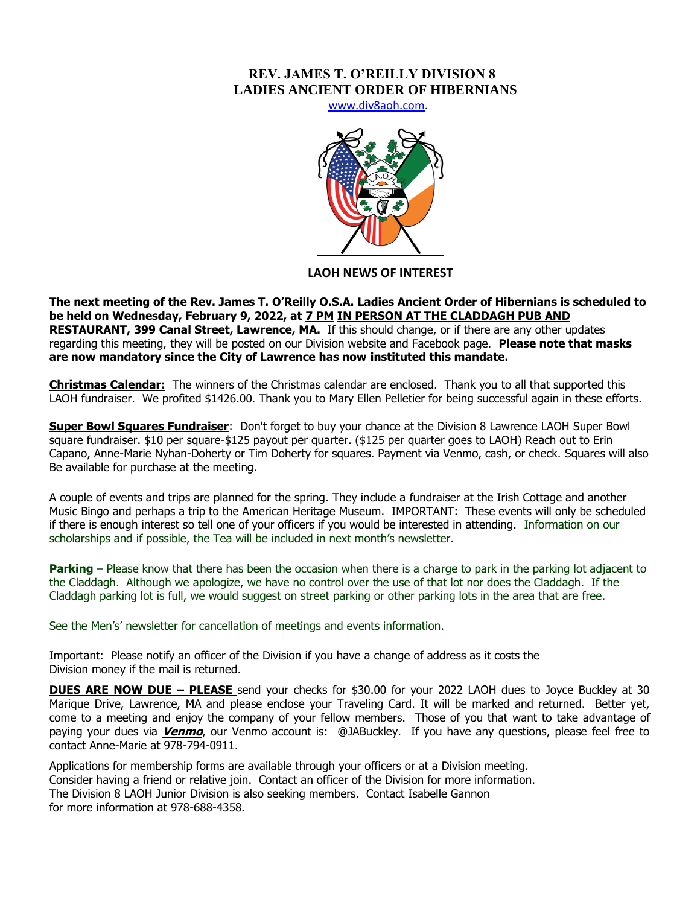# **REV. JAMES T. O'REILLY DIVISION 8 LADIES ANCIENT ORDER OF HIBERNIANS**

[www.div8aoh.com.](http://www.div8aoh.com/)



## **LAOH NEWS OF INTEREST**

**The next meeting of the Rev. James T. O'Reilly O.S.A. Ladies Ancient Order of Hibernians is scheduled to be held on Wednesday, February 9, 2022, at 7 PM IN PERSON AT THE CLADDAGH PUB AND RESTAURANT, 399 Canal Street, Lawrence, MA.** If this should change, or if there are any other updates regarding this meeting, they will be posted on our Division website and Facebook page. **Please note that masks are now mandatory since the City of Lawrence has now instituted this mandate.**

**Christmas Calendar:** The winners of the Christmas calendar are enclosed. Thank you to all that supported this LAOH fundraiser. We profited \$1426.00. Thank you to Mary Ellen Pelletier for being successful again in these efforts.

**Super Bowl Squares Fundraiser**: Don't forget to buy your chance at the Division 8 Lawrence LAOH Super Bowl square fundraiser. \$10 per square-\$125 payout per quarter. (\$125 per quarter goes to LAOH) Reach out to Erin Capano, Anne-Marie Nyhan-Doherty or Tim Doherty for squares. Payment via Venmo, cash, or check. Squares will also Be available for purchase at the meeting.

A couple of events and trips are planned for the spring. They include a fundraiser at the Irish Cottage and another Music Bingo and perhaps a trip to the American Heritage Museum. IMPORTANT:These events will only be scheduled if there is enough interest so tell one of your officers if you would be interested in attending. Information on our scholarships and if possible, the Tea will be included in next month's newsletter.

**Parking** – Please know that there has been the occasion when there is a charge to park in the parking lot adjacent to the Claddagh. Although we apologize, we have no control over the use of that lot nor does the Claddagh. If the Claddagh parking lot is full, we would suggest on street parking or other parking lots in the area that are free.

See the Men's' newsletter for cancellation of meetings and events information.

Important: Please notify an officer of the Division if you have a change of address as it costs the Division money if the mail is returned.

**DUES ARE NOW DUE – PLEASE** send your checks for \$30.00 for your 2022 LAOH dues to Joyce Buckley at 30 Marique Drive, Lawrence, MA and please enclose your Traveling Card. It will be marked and returned. Better yet, come to a meeting and enjoy the company of your fellow members. Those of you that want to take advantage of paying your dues via **Venmo**, our Venmo account is: @JABuckley. If you have any questions, please feel free to contact Anne-Marie at 978-794-0911.

Applications for membership forms are available through your officers or at a Division meeting. Consider having a friend or relative join. Contact an officer of the Division for more information. The Division 8 LAOH Junior Division is also seeking members. Contact Isabelle Gannon for more information at 978-688-4358.